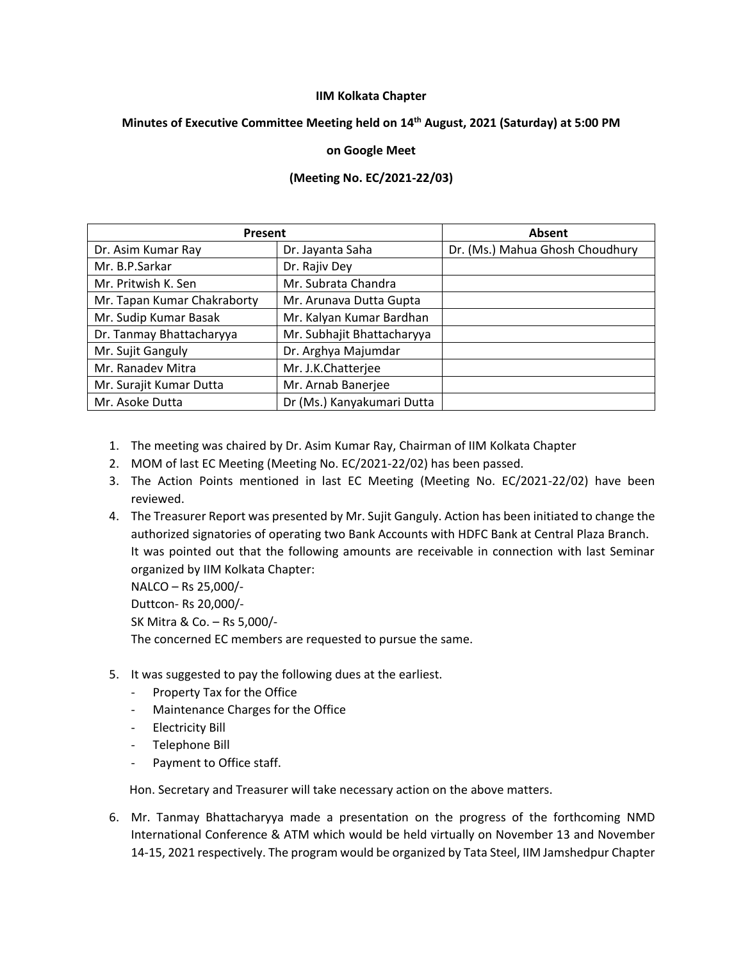## **IIM Kolkata Chapter**

## **Minutes of Executive Committee Meeting held on 14 th August, 2021 (Saturday) at 5:00 PM**

## **on Google Meet**

## **(Meeting No. EC/2021-22/03)**

| Present                     |                            | Absent                          |
|-----------------------------|----------------------------|---------------------------------|
| Dr. Asim Kumar Ray          | Dr. Jayanta Saha           | Dr. (Ms.) Mahua Ghosh Choudhury |
| Mr. B.P.Sarkar              | Dr. Rajiv Dey              |                                 |
| Mr. Pritwish K. Sen         | Mr. Subrata Chandra        |                                 |
| Mr. Tapan Kumar Chakraborty | Mr. Arunava Dutta Gupta    |                                 |
| Mr. Sudip Kumar Basak       | Mr. Kalyan Kumar Bardhan   |                                 |
| Dr. Tanmay Bhattacharyya    | Mr. Subhajit Bhattacharyya |                                 |
| Mr. Sujit Ganguly           | Dr. Arghya Majumdar        |                                 |
| Mr. Ranadev Mitra           | Mr. J.K.Chatterjee         |                                 |
| Mr. Surajit Kumar Dutta     | Mr. Arnab Banerjee         |                                 |
| Mr. Asoke Dutta             | Dr (Ms.) Kanyakumari Dutta |                                 |

- 1. The meeting was chaired by Dr. Asim Kumar Ray, Chairman of IIM Kolkata Chapter
- 2. MOM of last EC Meeting (Meeting No. EC/2021-22/02) has been passed.
- 3. The Action Points mentioned in last EC Meeting (Meeting No. EC/2021-22/02) have been reviewed.
- 4. The Treasurer Report was presented by Mr. Sujit Ganguly. Action has been initiated to change the authorized signatories of operating two Bank Accounts with HDFC Bank at Central Plaza Branch. It was pointed out that the following amounts are receivable in connection with last Seminar organized by IIM Kolkata Chapter: NALCO – Rs 25,000/-

Duttcon- Rs 20,000/- SK Mitra & Co. – Rs 5,000/- The concerned EC members are requested to pursue the same.

- 5. It was suggested to pay the following dues at the earliest.
	- Property Tax for the Office
	- Maintenance Charges for the Office
	- Electricity Bill
	- Telephone Bill
	- Payment to Office staff.

Hon. Secretary and Treasurer will take necessary action on the above matters.

6. Mr. Tanmay Bhattacharyya made a presentation on the progress of the forthcoming NMD International Conference & ATM which would be held virtually on November 13 and November 14-15, 2021 respectively. The program would be organized by Tata Steel, IIM Jamshedpur Chapter